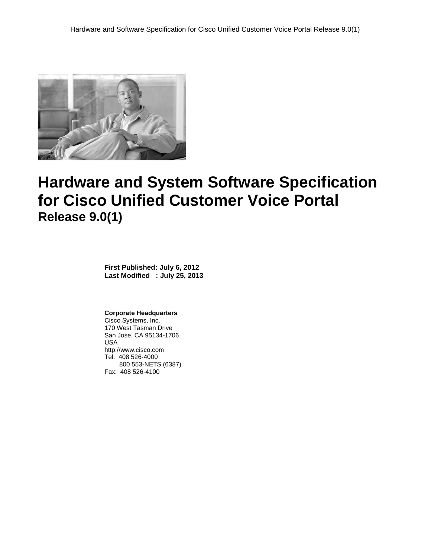

# **Hardware and System Software Specification for Cisco Unified Customer Voice Portal Release 9.0(1)**

**First Published: July 6, 2012 Last Modified : July 25, 2013**

#### **Corporate Headquarters**

Cisco Systems, Inc. 170 West Tasman Drive San Jose, CA 95134-1706 USA http://www.cisco.com Tel: 408 526-4000 800 553-NETS (6387) Fax: 408 526-4100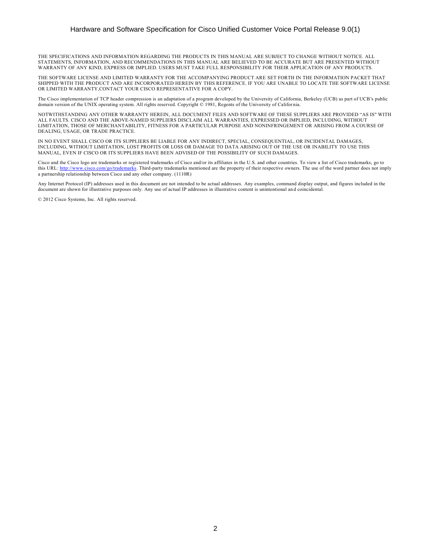#### Hardware and Software Specification for Cisco Unified Customer Voice Portal Release 9.0(1)

THE SPECIFICATIONS AND INFORMATION REGARDING THE PRODUCTS IN THIS MANUAL ARE SUBJECT TO CHANGE WITHOUT NOTICE. ALL STATEMENTS, INFORMATION, AND RECOMMENDATIONS IN THIS MANUAL ARE BELIEVED TO BE ACCURATE BUT ARE PRESENTED WITHOUT WARRANTY OF ANY KIND, EXPRESS OR IMPLIED. USERS MUST TAKE FULL RESPONSIBILITY FOR THEIR APPLICATION OF ANY PRODUCTS.

THE SOFTWARE LICENSE AND LIMITED WARRANTY FOR THE ACCOMPANYING PRODUCT ARE SET FORTH IN THE INFORMATION PACKET THAT SHIPPED WITH THE PRODUCT AND ARE INCORPORATED HEREIN BY THIS REFERENCE. IF YOU ARE UNABLE TO LOCATE THE SOFTWARE LICENSE OR LIMITED WARRANTY,CONTACT YOUR CISCO REPRESENTATIVE FOR A COPY.

The Cisco implementation of TCP header compression is an adaptation of a program developed by the University of California, Berkeley (UCB) as part of UCB's public domain version of the UNIX operating system. All rights reserved. Copyright © 1981, Regents of the University of Califor nia.

NOTWITHSTANDING ANY OTHER WARRANTY HEREIN, ALL DOCUMENT FILES AND SOFTWARE OF THESE SUPPLIERS ARE PROVIDED "AS IS" WITH ALL FAULTS. CISCO AND THE ABOVE-NAMED SUPPLIERS DISCLAIM ALL WARRANTIES, EXPRESSED OR IMPLIED, INCLUDING, WITHOUT LIMITATION, THOSE OF MERCHANTABILITY, FITNESS FOR A PARTICULAR PURPOSE AND NONINFRINGEMENT OR ARISING FROM A COURSE OF DEALING, USAGE, OR TRADE PRACTICE.

IN NO EVENT SHALL CISCO OR ITS SUPPLIERS BE LIABLE FOR ANY INDIRECT, SPECIAL, CONSEQUENTIAL, OR INCIDENTAL DAMAGES, INCLUDING, WITHOUT LIMITATION, LOST PROFITS OR LOSS OR DAMAGE TO DATA ARISING OUT OF THE USE OR INABILITY TO USE THIS MANUAL, EVEN IF CISCO OR ITS SUPPLIERS HAVE BEEN ADVISED OF THE POSSIBILITY OF SUCH DAMAGES.

Cisco and the Cisco logo are trademarks or registered trademarks of Cisco and/or its affiliates in the U.S. and other countries. To view a list of Cisco trademarks, go to this URL: [http://www.cisco.com/go/trademarks.](http://www.cisco.com/go/trademarks) Third-party trademarks mentioned are the property of their respective owners. The use of the word partner does not imply a partnership relationship between Cisco and any other company. (1110R)

Any Internet Protocol (IP) addresses used in this document are not intended to be actual addresses. Any examples, command display output, and figures included in the document are shown for illustrative purposes only. Any use of actual IP addresses in illustrative content is unintentional an d coincidental.

© 2012 Cisco Systems, Inc. All rights reserved.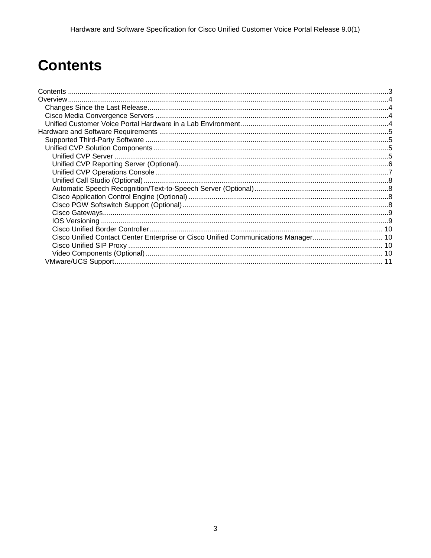# <span id="page-2-0"></span>**Contents**

| Cisco Unified Contact Center Enterprise or Cisco Unified Communications Manager 10 |  |
|------------------------------------------------------------------------------------|--|
|                                                                                    |  |
|                                                                                    |  |
|                                                                                    |  |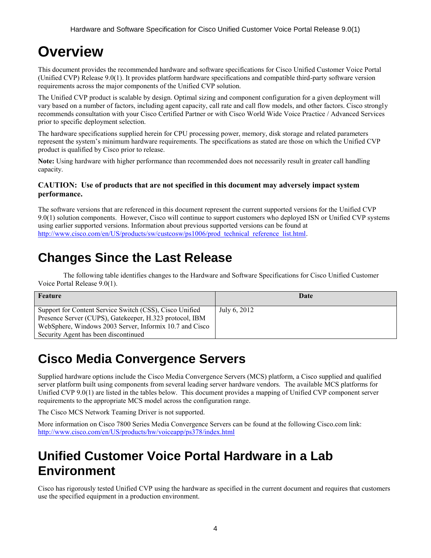## <span id="page-3-0"></span>**Overview**

This document provides the recommended hardware and software specifications for Cisco Unified Customer Voice Portal (Unified CVP) Release 9.0(1). It provides platform hardware specifications and compatible third-party software version requirements across the major components of the Unified CVP solution.

The Unified CVP product is scalable by design. Optimal sizing and component configuration for a given deployment will vary based on a number of factors, including agent capacity, call rate and call flow models, and other factors. Cisco strongly recommends consultation with your Cisco Certified Partner or with Cisco World Wide Voice Practice / Advanced Services prior to specific deployment selection.

The hardware specifications supplied herein for CPU processing power, memory, disk storage and related parameters represent the system's minimum hardware requirements. The specifications as stated are those on which the Unified CVP product is qualified by Cisco prior to release.

**Note:** Using hardware with higher performance than recommended does not necessarily result in greater call handling capacity.

#### **CAUTION: Use of products that are not specified in this document may adversely impact system performance.**

The software versions that are referenced in this document represent the current supported versions for the Unified CVP 9.0(1) solution components. However, Cisco will continue to support customers who deployed ISN or Unified CVP systems using earlier supported versions. Information about previous supported versions can be found at [http://www.cisco.com/en/US/products/sw/custcosw/ps1006/prod\\_technical\\_reference\\_list.html.](http://www.cisco.com/en/US/products/sw/custcosw/ps1006/prod_technical_reference_list.html)

### <span id="page-3-1"></span>**Changes Since the Last Release**

The following table identifies changes to the Hardware and Software Specifications for Cisco Unified Customer Voice Portal Release 9.0(1).

| Feature                                                                                                                                                                                                               | Date         |
|-----------------------------------------------------------------------------------------------------------------------------------------------------------------------------------------------------------------------|--------------|
| Support for Content Service Switch (CSS), Cisco Unified<br>Presence Server (CUPS), Gatekeeper, H.323 protocol, IBM<br>WebSphere, Windows 2003 Server, Informix 10.7 and Cisco<br>Security Agent has been discontinued | July 6, 2012 |

## <span id="page-3-2"></span>**Cisco Media Convergence Servers**

Supplied hardware options include the Cisco Media Convergence Servers (MCS) platform, a Cisco supplied and qualified server platform built using components from several leading server hardware vendors. The available MCS platforms for Unified CVP 9.0(1) are listed in the tables below. This document provides a mapping of Unified CVP component server requirements to the appropriate MCS model across the configuration range.

The Cisco MCS Network Teaming Driver is not supported.

More information on Cisco 7800 Series Media Convergence Servers can be found at the following Cisco.com link: <http://www.cisco.com/en/US/products/hw/voiceapp/ps378/index.html>

## <span id="page-3-3"></span>**Unified Customer Voice Portal Hardware in a Lab Environment**

Cisco has rigorously tested Unified CVP using the hardware as specified in the current document and requires that customers use the specified equipment in a production environment.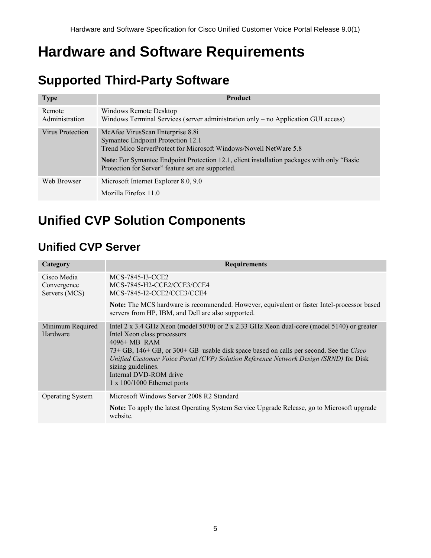# <span id="page-4-0"></span>**Hardware and Software Requirements**

## <span id="page-4-1"></span>**Supported Third-Party Software**

| <b>Type</b>              | <b>Product</b>                                                                                                                                                                                                                                                                                        |
|--------------------------|-------------------------------------------------------------------------------------------------------------------------------------------------------------------------------------------------------------------------------------------------------------------------------------------------------|
| Remote<br>Administration | Windows Remote Desktop<br>Windows Terminal Services (server administration only – no Application GUI access)                                                                                                                                                                                          |
| Virus Protection         | McAfee VirusScan Enterprise 8.8i<br>Symantec Endpoint Protection 12.1<br>Trend Mico ServerProtect for Microsoft Windows/Novell NetWare 5.8<br><b>Note:</b> For Symantec Endpoint Protection 12.1, client installation packages with only "Basic"<br>Protection for Server" feature set are supported. |
| Web Browser              | Microsoft Internet Explorer 8.0, 9.0<br>Mozilla Firefox 11.0                                                                                                                                                                                                                                          |

## <span id="page-4-2"></span>**Unified CVP Solution Components**

### <span id="page-4-3"></span>**Unified CVP Server**

| Category                                    | <b>Requirements</b>                                                                                                                                                                                                                                                                                                                                                                                                   |
|---------------------------------------------|-----------------------------------------------------------------------------------------------------------------------------------------------------------------------------------------------------------------------------------------------------------------------------------------------------------------------------------------------------------------------------------------------------------------------|
| Cisco Media<br>Convergence<br>Servers (MCS) | MCS-7845-I3-CCE2<br>MCS-7845-H2-CCE2/CCE3/CCE4<br>MCS-7845-I2-CCE2/CCE3/CCE4                                                                                                                                                                                                                                                                                                                                          |
|                                             | Note: The MCS hardware is recommended. However, equivalent or faster Intel-processor based<br>servers from HP, IBM, and Dell are also supported.                                                                                                                                                                                                                                                                      |
| Minimum Required<br>Hardware                | Intel 2 x 3.4 GHz Xeon (model 5070) or 2 x 2.33 GHz Xeon dual-core (model 5140) or greater<br>Intel Xeon class processors<br>$4096 + MR$ RAM<br>73+ GB, 146+ GB, or 300+ GB usable disk space based on calls per second. See the Cisco<br>Unified Customer Voice Portal (CVP) Solution Reference Network Design (SRND) for Disk<br>sizing guidelines.<br>Internal DVD-ROM drive<br>$1 \times 100/1000$ Ethernet ports |
| <b>Operating System</b>                     | Microsoft Windows Server 2008 R2 Standard                                                                                                                                                                                                                                                                                                                                                                             |
|                                             | <b>Note:</b> To apply the latest Operating System Service Upgrade Release, go to Microsoft upgrade<br>website.                                                                                                                                                                                                                                                                                                        |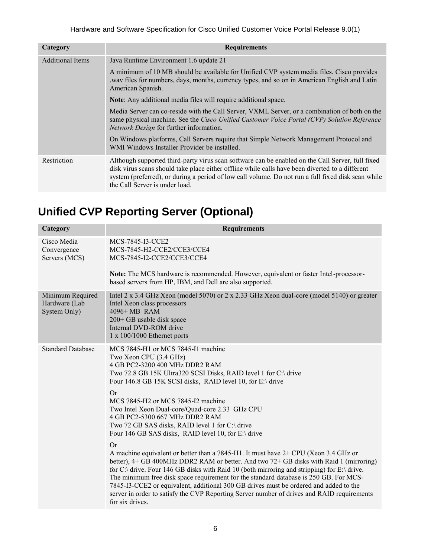| Category                | <b>Requirements</b>                                                                                                                                                                                                                                                                                                                         |
|-------------------------|---------------------------------------------------------------------------------------------------------------------------------------------------------------------------------------------------------------------------------------------------------------------------------------------------------------------------------------------|
| <b>Additional Items</b> | Java Runtime Environment 1.6 update 21                                                                                                                                                                                                                                                                                                      |
|                         | A minimum of 10 MB should be available for Unified CVP system media files. Cisco provides<br>way files for numbers, days, months, currency types, and so on in American English and Latin<br>American Spanish.                                                                                                                              |
|                         | <b>Note:</b> Any additional media files will require additional space.                                                                                                                                                                                                                                                                      |
|                         | Media Server can co-reside with the Call Server, VXML Server, or a combination of both on the<br>same physical machine. See the Cisco Unified Customer Voice Portal (CVP) Solution Reference<br>Network Design for further information.                                                                                                     |
|                         | On Windows platforms, Call Servers require that Simple Network Management Protocol and<br>WMI Windows Installer Provider be installed.                                                                                                                                                                                                      |
| Restriction             | Although supported third-party virus scan software can be enabled on the Call Server, full fixed<br>disk virus scans should take place either offline while calls have been diverted to a different<br>system (preferred), or during a period of low call volume. Do not run a full fixed disk scan while<br>the Call Server is under load. |

## <span id="page-5-0"></span>**Unified CVP Reporting Server (Optional)**

| Category                                          | <b>Requirements</b>                                                                                                                                                                                                                                                                                                                                                                                                                                                                                                                                                                                                                                                                                                                                                                                                                                                                                                                                                                                                                                                 |
|---------------------------------------------------|---------------------------------------------------------------------------------------------------------------------------------------------------------------------------------------------------------------------------------------------------------------------------------------------------------------------------------------------------------------------------------------------------------------------------------------------------------------------------------------------------------------------------------------------------------------------------------------------------------------------------------------------------------------------------------------------------------------------------------------------------------------------------------------------------------------------------------------------------------------------------------------------------------------------------------------------------------------------------------------------------------------------------------------------------------------------|
| Cisco Media<br>Convergence<br>Servers (MCS)       | MCS-7845-I3-CCE2<br>MCS-7845-H2-CCE2/CCE3/CCE4<br>MCS-7845-I2-CCE2/CCE3/CCE4                                                                                                                                                                                                                                                                                                                                                                                                                                                                                                                                                                                                                                                                                                                                                                                                                                                                                                                                                                                        |
|                                                   | Note: The MCS hardware is recommended. However, equivalent or faster Intel-processor-<br>based servers from HP, IBM, and Dell are also supported.                                                                                                                                                                                                                                                                                                                                                                                                                                                                                                                                                                                                                                                                                                                                                                                                                                                                                                                   |
| Minimum Required<br>Hardware (Lab<br>System Only) | Intel 2 x 3.4 GHz Xeon (model 5070) or 2 x 2.33 GHz Xeon dual-core (model 5140) or greater<br>Intel Xeon class processors<br>4096+ MB RAM<br>200+ GB usable disk space<br>Internal DVD-ROM drive<br>$1 \times 100/1000$ Ethernet ports                                                                                                                                                                                                                                                                                                                                                                                                                                                                                                                                                                                                                                                                                                                                                                                                                              |
| <b>Standard Database</b>                          | MCS 7845-H1 or MCS 7845-I1 machine<br>Two Xeon CPU (3.4 GHz)<br>4 GB PC2-3200 400 MHz DDR2 RAM<br>Two 72.8 GB 15K Ultra320 SCSI Disks, RAID level 1 for C:\ drive<br>Four 146.8 GB 15K SCSI disks, RAID level 10, for E:\ drive<br>Or<br>MCS 7845-H2 or MCS 7845-I2 machine<br>Two Intel Xeon Dual-core/Quad-core 2.33 GHz CPU<br>4 GB PC2-5300 667 MHz DDR2 RAM<br>Two 72 GB SAS disks, RAID level 1 for C:\ drive<br>Four 146 GB SAS disks, RAID level 10, for E:\ drive<br>Or<br>A machine equivalent or better than a 7845-H1. It must have 2+ CPU (Xeon 3.4 GHz or<br>better), 4+ GB 400MHz DDR2 RAM or better. And two 72+ GB disks with Raid 1 (mirroring)<br>for C:\ drive. Four 146 GB disks with Raid 10 (both mirroring and stripping) for E:\ drive.<br>The minimum free disk space requirement for the standard database is 250 GB. For MCS-<br>7845-I3-CCE2 or equivalent, additional 300 GB drives must be ordered and added to the<br>server in order to satisfy the CVP Reporting Server number of drives and RAID requirements<br>for six drives. |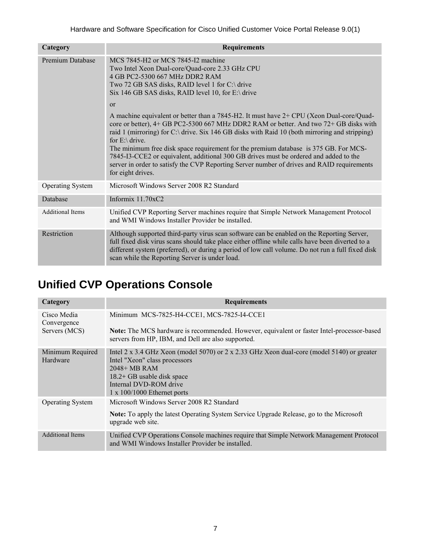| Category                | <b>Requirements</b>                                                                                                                                                                                                                                                                                                                                                                                                                                                                                                                                                                                                 |
|-------------------------|---------------------------------------------------------------------------------------------------------------------------------------------------------------------------------------------------------------------------------------------------------------------------------------------------------------------------------------------------------------------------------------------------------------------------------------------------------------------------------------------------------------------------------------------------------------------------------------------------------------------|
| <b>Premium Database</b> | MCS 7845-H2 or MCS 7845-I2 machine<br>Two Intel Xeon Dual-core/Quad-core 2.33 GHz CPU<br>4 GB PC2-5300 667 MHz DDR2 RAM<br>Two 72 GB SAS disks, RAID level 1 for C:\ drive<br>Six 146 GB SAS disks, RAID level 10, for $E \setminus$ drive                                                                                                                                                                                                                                                                                                                                                                          |
|                         | or<br>A machine equivalent or better than a 7845-H2. It must have 2+ CPU (Xeon Dual-core/Quad-<br>core or better), 4+ GB PC2-5300 667 MHz DDR2 RAM or better. And two 72+ GB disks with<br>raid 1 (mirroring) for C:\ drive. Six 146 GB disks with Raid 10 (both mirroring and stripping)<br>for $E$ : \ drive.<br>The minimum free disk space requirement for the premium database is 375 GB. For MCS-<br>7845-I3-CCE2 or equivalent, additional 300 GB drives must be ordered and added to the<br>server in order to satisfy the CVP Reporting Server number of drives and RAID requirements<br>for eight drives. |
| <b>Operating System</b> | Microsoft Windows Server 2008 R2 Standard                                                                                                                                                                                                                                                                                                                                                                                                                                                                                                                                                                           |
| Database                | Informix $11.70xC2$                                                                                                                                                                                                                                                                                                                                                                                                                                                                                                                                                                                                 |
| <b>Additional Items</b> | Unified CVP Reporting Server machines require that Simple Network Management Protocol<br>and WMI Windows Installer Provider be installed.                                                                                                                                                                                                                                                                                                                                                                                                                                                                           |
| Restriction             | Although supported third-party virus scan software can be enabled on the Reporting Server,<br>full fixed disk virus scans should take place either offline while calls have been diverted to a<br>different system (preferred), or during a period of low call volume. Do not run a full fixed disk<br>scan while the Reporting Server is under load.                                                                                                                                                                                                                                                               |

### <span id="page-6-0"></span>**Unified CVP Operations Console**

| Category                                    | <b>Requirements</b>                                                                                                                                                                                                                        |
|---------------------------------------------|--------------------------------------------------------------------------------------------------------------------------------------------------------------------------------------------------------------------------------------------|
| Cisco Media<br>Convergence<br>Servers (MCS) | Minimum MCS-7825-H4-CCE1, MCS-7825-I4-CCE1<br>Note: The MCS hardware is recommended. However, equivalent or faster Intel-processor-based<br>servers from HP, IBM, and Dell are also supported.                                             |
| Minimum Required<br>Hardware                | Intel 2 x 3.4 GHz Xeon (model 5070) or 2 x 2.33 GHz Xeon dual-core (model 5140) or greater<br>Intel "Xeon" class processors<br>$2048+MB$ RAM<br>18.2+ GB usable disk space<br>Internal DVD-ROM drive<br>$1 \times 100/1000$ Ethernet ports |
| <b>Operating System</b>                     | Microsoft Windows Server 2008 R2 Standard<br><b>Note:</b> To apply the latest Operating System Service Upgrade Release, go to the Microsoft<br>upgrade web site.                                                                           |
| <b>Additional Items</b>                     | Unified CVP Operations Console machines require that Simple Network Management Protocol<br>and WMI Windows Installer Provider be installed.                                                                                                |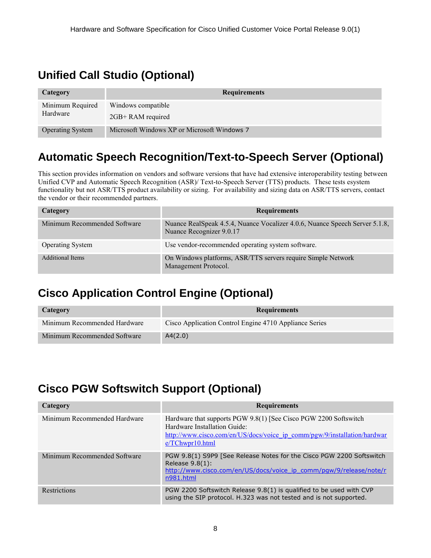### <span id="page-7-0"></span>**Unified Call Studio (Optional)**

| Category                | <b>Requirements</b>                         |
|-------------------------|---------------------------------------------|
| Minimum Required        | Windows compatible                          |
| Hardware                | 2GB+ RAM required                           |
| <b>Operating System</b> | Microsoft Windows XP or Microsoft Windows 7 |

### <span id="page-7-1"></span>**Automatic Speech Recognition/Text-to-Speech Server (Optional)**

This section provides information on vendors and software versions that have had extensive interoperability testing between Unified CVP and Automatic Speech Recognition (ASR)/ Text-to-Speech Server (TTS) products. These tests esystem functionality but not ASR/TTS product availability or sizing. For availability and sizing data on ASR/TTS servers, contact the vendor or their recommended partners.

| Category                     | <b>Requirements</b>                                                                                     |
|------------------------------|---------------------------------------------------------------------------------------------------------|
| Minimum Recommended Software | Nuance RealSpeak 4.5.4, Nuance Vocalizer 4.0.6, Nuance Speech Server 5.1.8,<br>Nuance Recognizer 9.0.17 |
| <b>Operating System</b>      | Use vendor-recommended operating system software.                                                       |
| <b>Additional Items</b>      | On Windows platforms, ASR/TTS servers require Simple Network<br>Management Protocol.                    |

### <span id="page-7-2"></span>**Cisco Application Control Engine (Optional)**

| Category                     | <b>Requirements</b>                                    |
|------------------------------|--------------------------------------------------------|
| Minimum Recommended Hardware | Cisco Application Control Engine 4710 Appliance Series |
| Minimum Recommended Software | A4(2.0)                                                |

### <span id="page-7-3"></span>**Cisco PGW Softswitch Support (Optional)**

| Category                     | <b>Requirements</b>                                                                                                                                                                             |
|------------------------------|-------------------------------------------------------------------------------------------------------------------------------------------------------------------------------------------------|
| Minimum Recommended Hardware | Hardware that supports PGW 9.8(1) [See Cisco PGW 2200 Softswitch<br>Hardware Installation Guide:<br>http://www.cisco.com/en/US/docs/voice ip comm/pgw/9/installation/hardwar<br>e/TChwpr10.html |
| Minimum Recommended Software | PGW 9.8(1) S9P9 [See Release Notes for the Cisco PGW 2200 Softswitch<br>Release $9.8(1)$ :<br>http://www.cisco.com/en/US/docs/voice_ip_comm/pgw/9/release/note/r<br>n981.html                   |
| <b>Restrictions</b>          | PGW 2200 Softswitch Release 9.8(1) is qualified to be used with CVP<br>using the SIP protocol. H.323 was not tested and is not supported.                                                       |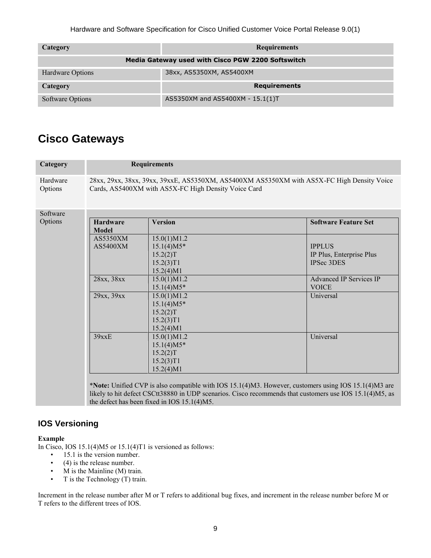| Category                                          | <b>Requirements</b>              |
|---------------------------------------------------|----------------------------------|
| Media Gateway used with Cisco PGW 2200 Softswitch |                                  |
| Hardware Options                                  | 38xx, AS5350XM, AS5400XM         |
| Category                                          | <b>Requirements</b>              |
| Software Options                                  | AS5350XM and AS5400XM - 15.1(1)T |

### <span id="page-8-0"></span>**Cisco Gateways**

| Category            | <b>Requirements</b>                                                                                                                                |                |                                                                                                        |
|---------------------|----------------------------------------------------------------------------------------------------------------------------------------------------|----------------|--------------------------------------------------------------------------------------------------------|
| Hardware<br>Options | 28xx, 29xx, 38xx, 39xx, 39xxE, AS5350XM, AS5400XM AS5350XM with AS5X-FC High Density Voice<br>Cards, AS5400XM with AS5X-FC High Density Voice Card |                |                                                                                                        |
| Software            |                                                                                                                                                    |                |                                                                                                        |
| Options             | <b>Hardware</b><br>Model                                                                                                                           | <b>Version</b> | <b>Software Feature Set</b>                                                                            |
|                     | AS5350XM                                                                                                                                           | 15.0(1)M1.2    |                                                                                                        |
|                     | AS5400XM                                                                                                                                           | $15.1(4)M5*$   | <b>IPPLUS</b>                                                                                          |
|                     |                                                                                                                                                    | 15.2(2)T       | IP Plus, Enterprise Plus                                                                               |
|                     |                                                                                                                                                    | 15.2(3)T1      | <b>IPSec 3DES</b>                                                                                      |
|                     |                                                                                                                                                    | 15.2(4)M1      |                                                                                                        |
|                     | 28xx, 38xx                                                                                                                                         | 15.0(1)M1.2    | <b>Advanced IP Services IP</b>                                                                         |
|                     |                                                                                                                                                    | $15.1(4)M5*$   | <b>VOICE</b>                                                                                           |
|                     | 29xx, 39xx                                                                                                                                         | 15.0(1)M1.2    | Universal                                                                                              |
|                     |                                                                                                                                                    | $15.1(4)M5*$   |                                                                                                        |
|                     |                                                                                                                                                    | 15.2(2)T       |                                                                                                        |
|                     |                                                                                                                                                    | 15.2(3)T1      |                                                                                                        |
|                     |                                                                                                                                                    | 15.2(4)M1      |                                                                                                        |
|                     | 39xxE                                                                                                                                              | 15.0(1)M1.2    | Universal                                                                                              |
|                     |                                                                                                                                                    | $15.1(4)M5*$   |                                                                                                        |
|                     |                                                                                                                                                    | 15.2(2)T       |                                                                                                        |
|                     |                                                                                                                                                    | 15.2(3)T1      |                                                                                                        |
|                     |                                                                                                                                                    | 15.2(4)M1      |                                                                                                        |
|                     |                                                                                                                                                    |                | *Note: Unified CVP is also compatible with IOS 15 1(4) M3. However, customers using IOS 15 1(4) M3 are |

\***Note:** Unified CVP is also compatible with IOS 15.1(4)M3. However, customers using IOS 15.1(4)M3 are likely to hit defect CSCtt38880 in UDP scenarios. Cisco recommends that customers use IOS 15.1(4)M5, as the defect has been fixed in IOS 15.1(4)M5.

#### <span id="page-8-1"></span>**IOS Versioning**

#### **Example**

In Cisco, IOS 15.1(4)M5 or 15.1(4)T1 is versioned as follows:

- 15.1 is the version number.
- (4) is the release number.
- M is the Mainline (M) train.
- T is the Technology (T) train.

Increment in the release number after M or T refers to additional bug fixes, and increment in the release number before M or T refers to the different trees of IOS.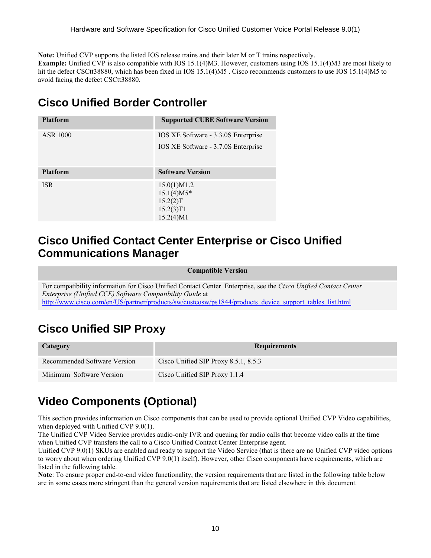**Note:** Unified CVP supports the listed IOS release trains and their later M or T trains respectively.

**Example:** Unified CVP is also compatible with IOS 15.1(4)M3. However, customers using IOS 15.1(4)M3 are most likely to hit the defect CSCtt38880, which has been fixed in IOS 15.1(4)M5. Cisco recommends customers to use IOS 15.1(4)M5 to avoid facing the defect CSCtt38880.

### <span id="page-9-0"></span>**Cisco Unified Border Controller**

| <b>Platform</b> | <b>Supported CUBE Software Version</b> |
|-----------------|----------------------------------------|
| ASR 1000        | IOS XE Software - 3.3.0S Enterprise    |
|                 | IOS XE Software - 3.7.0S Enterprise    |
| <b>Platform</b> | <b>Software Version</b>                |
| <b>ISR</b>      | 15.0(1)M1.2                            |
|                 | $15.1(4)M5*$                           |
|                 | 15.2(2)T<br>15.2(3)T1                  |
|                 | 15.2(4)M1                              |

#### <span id="page-9-1"></span>**Cisco Unified Contact Center Enterprise or Cisco Unified Communications Manager**

#### **Compatible Version**

For compatibility information for Cisco Unified Contact Center Enterprise, see the *Cisco Unified Contact Center Enterprise (Unified CCE) Software Compatibility Guide* at [http://www.cisco.com/en/US/partner/products/sw/custcosw/ps1844/products\\_device\\_support\\_tables\\_list.html](http://www.cisco.com/en/US/partner/products/sw/custcosw/ps1844/products_device_support_tables_list.html)

### <span id="page-9-2"></span>**Cisco Unified SIP Proxy**

| Category                     | <b>Requirements</b>                       |
|------------------------------|-------------------------------------------|
| Recommended Software Version | Cisco Unified SIP Proxy $8.5.1$ , $8.5.3$ |
| Minimum Software Version     | Cisco Unified SIP Proxy 1.1.4             |

### <span id="page-9-3"></span>**Video Components (Optional)**

This section provides information on Cisco components that can be used to provide optional Unified CVP Video capabilities, when deployed with Unified CVP 9.0(1).

The Unified CVP Video Service provides audio-only IVR and queuing for audio calls that become video calls at the time when Unified CVP transfers the call to a Cisco Unified Contact Center Enterprise agent.

Unified CVP 9.0(1) SKUs are enabled and ready to support the Video Service (that is there are no Unified CVP video options to worry about when ordering Unified CVP 9.0(1) itself). However, other Cisco components have requirements, which are listed in the following table.

**Note**: To ensure proper end-to-end video functionality, the version requirements that are listed in the following table below are in some cases more stringent than the general version requirements that are listed elsewhere in this document.